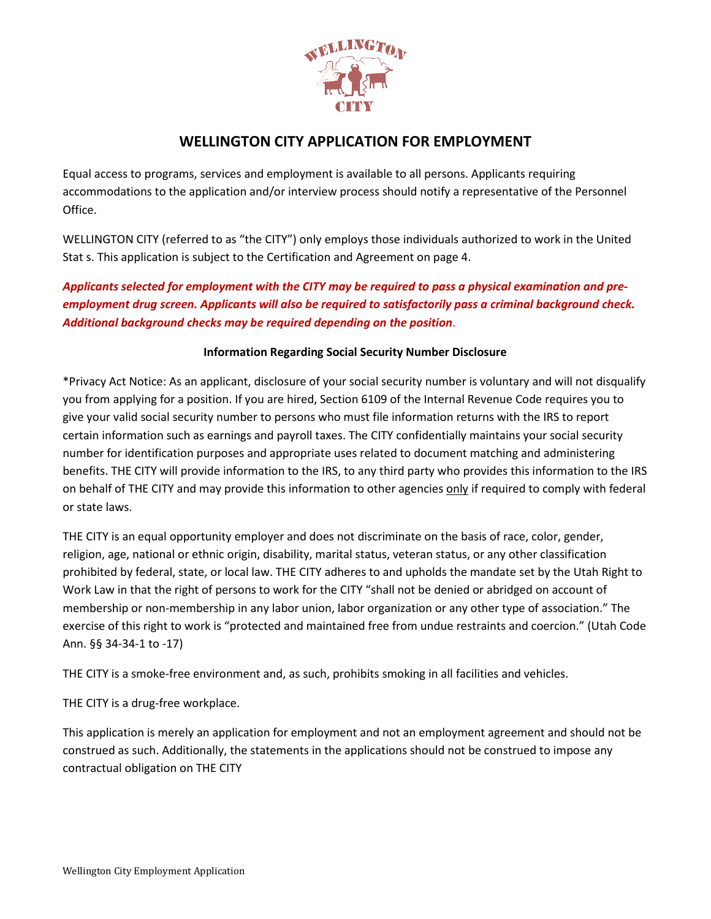

## **WELLINGTON CITY APPLICATION FOR EMPLOYMENT**

Equal access to programs, services and employment is available to all persons. Applicants requiring accommodations to the application and/or interview process should notify a representative of the Personnel Office.

WELLINGTON CITY (referred to as "the CITY") only employs those individuals authorized to work in the United Stat s. This application is subject to the Certification and Agreement on page 4.

*Applicants selected for employment with the CITY may be required to pass a physical examination and preemployment drug screen. Applicants will also be required to satisfactorily pass a criminal background check. Additional background checks may be required depending on the position*.

#### **Information Regarding Social Security Number Disclosure**

\*Privacy Act Notice: As an applicant, disclosure of your social security number is voluntary and will not disqualify you from applying for a position. If you are hired, Section 6109 of the Internal Revenue Code requires you to give your valid social security number to persons who must file information returns with the IRS to report certain information such as earnings and payroll taxes. The CITY confidentially maintains your social security number for identification purposes and appropriate uses related to document matching and administering benefits. THE CITY will provide information to the IRS, to any third party who provides this information to the IRS on behalf of THE CITY and may provide this information to other agencies only if required to comply with federal or state laws.

THE CITY is an equal opportunity employer and does not discriminate on the basis of race, color, gender, religion, age, national or ethnic origin, disability, marital status, veteran status, or any other classification prohibited by federal, state, or local law. THE CITY adheres to and upholds the mandate set by the Utah Right to Work Law in that the right of persons to work for the CITY "shall not be denied or abridged on account of membership or non-membership in any labor union, labor organization or any other type of association." The exercise of this right to work is "protected and maintained free from undue restraints and coercion." (Utah Code Ann. §§ 34-34-1 to -17)

THE CITY is a smoke-free environment and, as such, prohibits smoking in all facilities and vehicles.

THE CITY is a drug-free workplace.

This application is merely an application for employment and not an employment agreement and should not be construed as such. Additionally, the statements in the applications should not be construed to impose any contractual obligation on THE CITY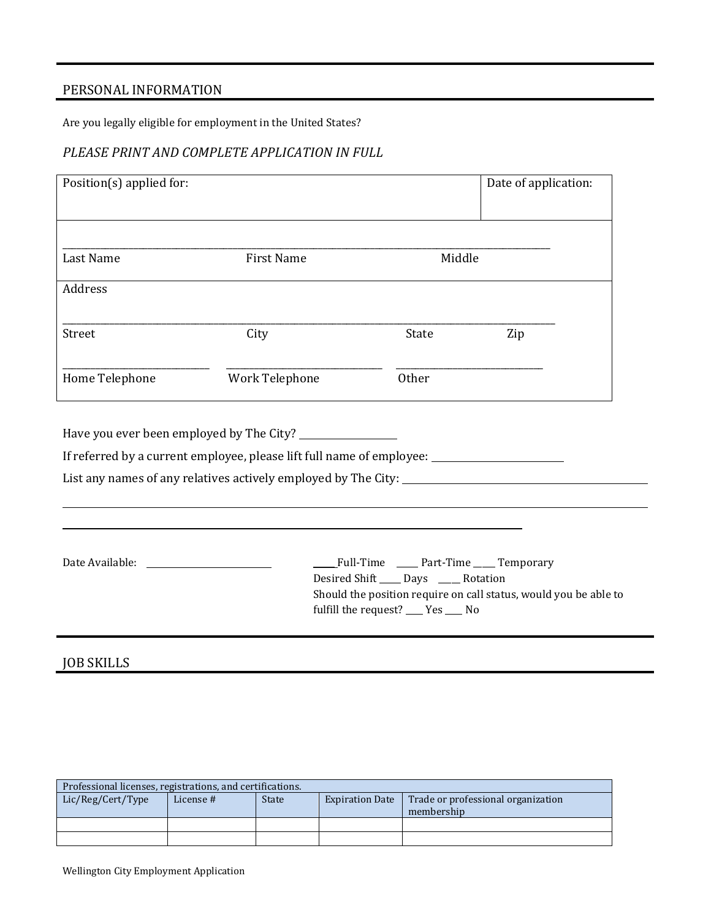# PERSONAL INFORMATION

Are you legally eligible for employment in the United States?

### *PLEASE PRINT AND COMPLETE APPLICATION IN FULL*

| Position(s) applied for:                                                                            |                   |                                         |              | Date of application:                                             |
|-----------------------------------------------------------------------------------------------------|-------------------|-----------------------------------------|--------------|------------------------------------------------------------------|
|                                                                                                     |                   |                                         |              |                                                                  |
|                                                                                                     |                   |                                         |              |                                                                  |
| Last Name                                                                                           | <b>First Name</b> |                                         | Middle       |                                                                  |
| Address                                                                                             |                   |                                         |              |                                                                  |
| Street                                                                                              | City              |                                         | State        | Zip                                                              |
|                                                                                                     |                   |                                         |              |                                                                  |
| Home Telephone                                                                                      | Work Telephone    |                                         | <b>Other</b> |                                                                  |
|                                                                                                     |                   |                                         |              |                                                                  |
|                                                                                                     |                   |                                         |              |                                                                  |
| If referred by a current employee, please lift full name of employee: _____________________________ |                   |                                         |              |                                                                  |
| List any names of any relatives actively employed by The City: __________________                   |                   |                                         |              |                                                                  |
|                                                                                                     |                   |                                         |              |                                                                  |
|                                                                                                     |                   |                                         |              |                                                                  |
|                                                                                                     |                   |                                         |              | Full-Time ____ Part-Time ____ Temporary                          |
|                                                                                                     |                   | Desired Shift _____ Days _____ Rotation |              |                                                                  |
|                                                                                                     |                   | fulfill the request? __ Yes __ No       |              | Should the position require on call status, would you be able to |
|                                                                                                     |                   |                                         |              |                                                                  |

## JOB SKILLS

| Professional licenses, registrations, and certifications. |           |              |                        |                                                  |
|-----------------------------------------------------------|-----------|--------------|------------------------|--------------------------------------------------|
| Lic/Reg/Cert/Type                                         | License # | <b>State</b> | <b>Expiration Date</b> | Trade or professional organization<br>membership |
|                                                           |           |              |                        |                                                  |
|                                                           |           |              |                        |                                                  |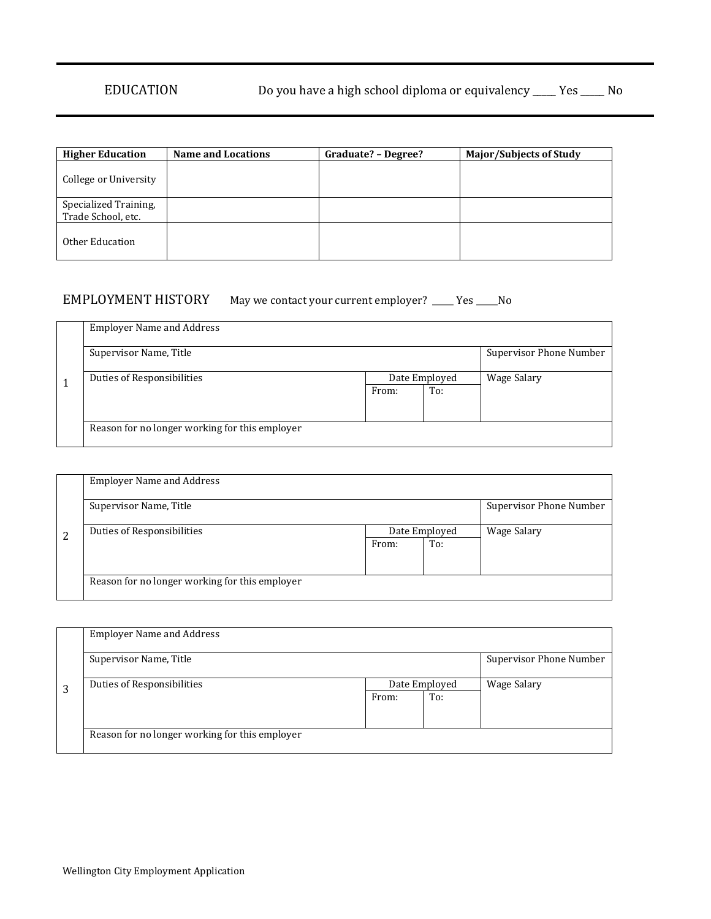| <b>Higher Education</b>                     | <b>Name and Locations</b> | Graduate? – Degree? | Major/Subjects of Study |
|---------------------------------------------|---------------------------|---------------------|-------------------------|
| College or University                       |                           |                     |                         |
| Specialized Training,<br>Trade School, etc. |                           |                     |                         |
| Other Education                             |                           |                     |                         |

## EMPLOYMENT HISTORY May we contact your current employer? \_\_\_\_ Yes \_\_\_\_No

| <b>Employer Name and Address</b>               |       |               |                         |
|------------------------------------------------|-------|---------------|-------------------------|
| Supervisor Name, Title                         |       |               | Supervisor Phone Number |
| Duties of Responsibilities                     |       | Date Employed | Wage Salary             |
|                                                | From: | To:           |                         |
|                                                |       |               |                         |
|                                                |       |               |                         |
| Reason for no longer working for this employer |       |               |                         |
|                                                |       |               |                         |

|   | <b>Employer Name and Address</b>               |               |     |                         |
|---|------------------------------------------------|---------------|-----|-------------------------|
|   | Supervisor Name, Title                         |               |     | Supervisor Phone Number |
| 2 | Duties of Responsibilities                     | Date Employed |     | Wage Salary             |
|   |                                                | From:         | To: |                         |
|   |                                                |               |     |                         |
|   |                                                |               |     |                         |
|   | Reason for no longer working for this employer |               |     |                         |

| <b>Employer Name and Address</b>               |               |     |                         |
|------------------------------------------------|---------------|-----|-------------------------|
| Supervisor Name, Title                         |               |     | Supervisor Phone Number |
| Duties of Responsibilities                     | Date Employed |     | Wage Salary             |
|                                                | From:         | To: |                         |
|                                                |               |     |                         |
|                                                |               |     |                         |
| Reason for no longer working for this employer |               |     |                         |
|                                                |               |     |                         |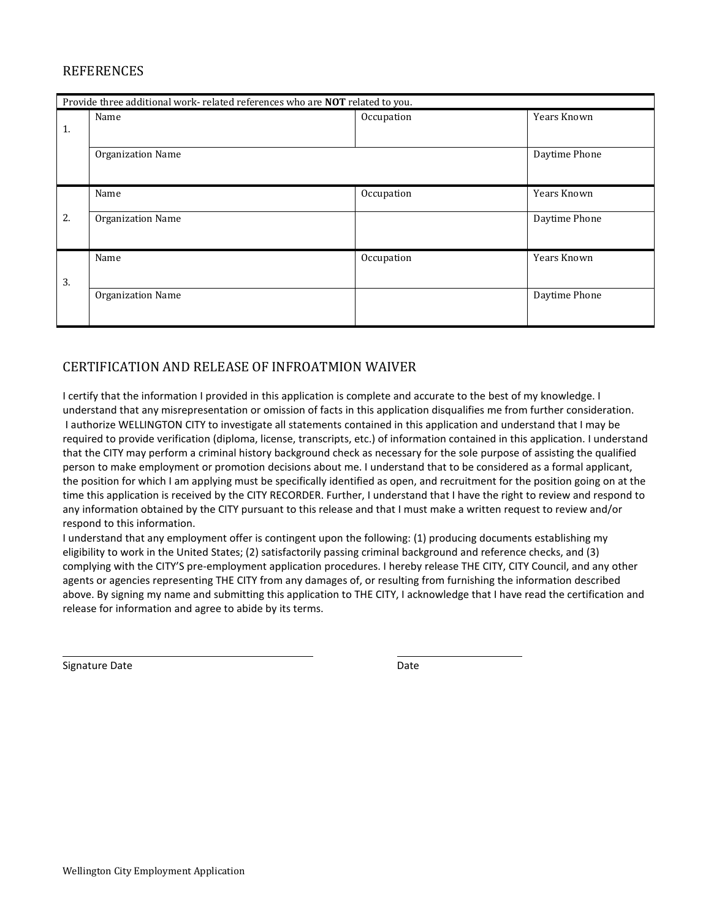### **REFERENCES**

|    | Provide three additional work- related references who are NOT related to you. |            |               |  |
|----|-------------------------------------------------------------------------------|------------|---------------|--|
|    | Name                                                                          | Occupation | Years Known   |  |
| 1. |                                                                               |            |               |  |
|    | Organization Name                                                             |            | Daytime Phone |  |
|    |                                                                               |            |               |  |
|    | Name                                                                          | Occupation | Years Known   |  |
| 2. | <b>Organization Name</b>                                                      |            | Daytime Phone |  |
|    |                                                                               |            |               |  |
|    | Name                                                                          | Occupation | Years Known   |  |
| 3. |                                                                               |            |               |  |
|    | Organization Name                                                             |            | Daytime Phone |  |
|    |                                                                               |            |               |  |

## CERTIFICATION AND RELEASE OF INFROATMION WAIVER

I certify that the information I provided in this application is complete and accurate to the best of my knowledge. I understand that any misrepresentation or omission of facts in this application disqualifies me from further consideration. I authorize WELLINGTON CITY to investigate all statements contained in this application and understand that I may be required to provide verification (diploma, license, transcripts, etc.) of information contained in this application. I understand that the CITY may perform a criminal history background check as necessary for the sole purpose of assisting the qualified person to make employment or promotion decisions about me. I understand that to be considered as a formal applicant, the position for which I am applying must be specifically identified as open, and recruitment for the position going on at the time this application is received by the CITY RECORDER. Further, I understand that I have the right to review and respond to any information obtained by the CITY pursuant to this release and that I must make a written request to review and/or respond to this information.

I understand that any employment offer is contingent upon the following: (1) producing documents establishing my eligibility to work in the United States; (2) satisfactorily passing criminal background and reference checks, and (3) complying with the CITY'S pre-employment application procedures. I hereby release THE CITY, CITY Council, and any other agents or agencies representing THE CITY from any damages of, or resulting from furnishing the information described above. By signing my name and submitting this application to THE CITY, I acknowledge that I have read the certification and release for information and agree to abide by its terms.

Signature Date **Date** Date **Date** Date **Date** Date **Date** Date

l